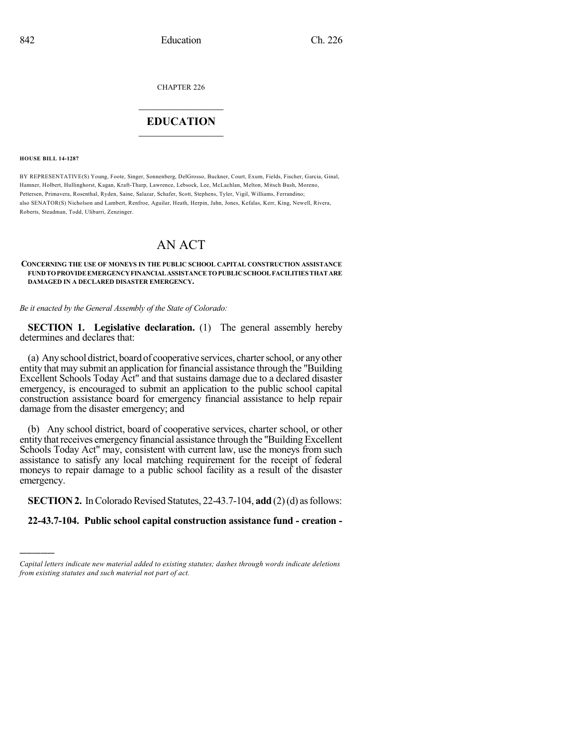CHAPTER 226

## $\mathcal{L}_\text{max}$  . The set of the set of the set of the set of the set of the set of the set of the set of the set of the set of the set of the set of the set of the set of the set of the set of the set of the set of the set **EDUCATION**  $\_$   $\_$   $\_$   $\_$   $\_$   $\_$   $\_$   $\_$

#### **HOUSE BILL 14-1287**

)))))

BY REPRESENTATIVE(S) Young, Foote, Singer, Sonnenberg, DelGrosso, Buckner, Court, Exum, Fields, Fischer, Garcia, Ginal, Hamner, Holbert, Hullinghorst, Kagan, Kraft-Tharp, Lawrence, Lebsock, Lee, McLachlan, Melton, Mitsch Bush, Moreno, Pettersen, Primavera, Rosenthal, Ryden, Saine, Salazar, Schafer, Scott, Stephens, Tyler, Vigil, Williams, Ferrandino; also SENATOR(S) Nicholson and Lambert, Renfroe, Aguilar, Heath, Herpin, Jahn, Jones, Kefalas, Kerr, King, Newell, Rivera, Roberts, Steadman, Todd, Ulibarri, Zenzinger.

# AN ACT

#### **CONCERNING THE USE OF MONEYS IN THE PUBLIC SCHOOL CAPITAL CONSTRUCTION ASSISTANCE FUNDTOPROVIDEEMERGENCYFINANCIALASSISTANCETOPUBLICSCHOOLFACILITIES THATARE DAMAGED IN A DECLARED DISASTER EMERGENCY.**

*Be it enacted by the General Assembly of the State of Colorado:*

**SECTION 1. Legislative declaration.** (1) The general assembly hereby determines and declares that:

(a) Any school district, board of cooperative services, charter school, or any other entity that may submit an application for financial assistance through the "Building Excellent Schools Today Act" and that sustains damage due to a declared disaster emergency, is encouraged to submit an application to the public school capital construction assistance board for emergency financial assistance to help repair damage from the disaster emergency; and

(b) Any school district, board of cooperative services, charter school, or other entity that receives emergency financial assistance through the "Building Excellent Schools Today Act" may, consistent with current law, use the moneys from such assistance to satisfy any local matching requirement for the receipt of federal moneys to repair damage to a public school facility as a result of the disaster emergency.

**SECTION 2.** In Colorado Revised Statutes, 22-43.7-104, **add** (2)(d) as follows:

## **22-43.7-104. Public school capital construction assistance fund - creation -**

*Capital letters indicate new material added to existing statutes; dashes through words indicate deletions from existing statutes and such material not part of act.*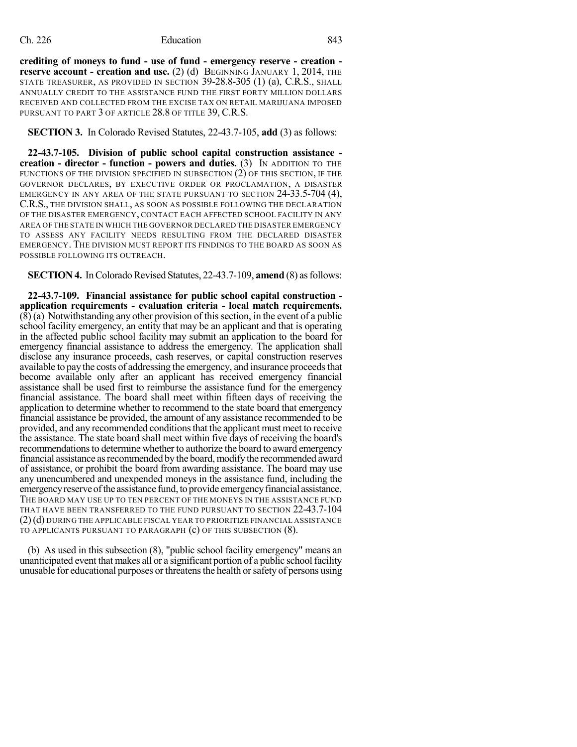### Ch. 226 Education 843

**crediting of moneys to fund - use of fund - emergency reserve - creation reserve account - creation and use.** (2) (d) BEGINNING JANUARY 1, 2014, THE STATE TREASURER, AS PROVIDED IN SECTION 39-28.8-305 (1) (a), C.R.S., SHALL ANNUALLY CREDIT TO THE ASSISTANCE FUND THE FIRST FORTY MILLION DOLLARS RECEIVED AND COLLECTED FROM THE EXCISE TAX ON RETAIL MARIJUANA IMPOSED PURSUANT TO PART 3 OF ARTICLE 28.8 OF TITLE 39, C.R.S.

### **SECTION 3.** In Colorado Revised Statutes, 22-43.7-105, **add** (3) as follows:

**22-43.7-105. Division of public school capital construction assistance creation - director - function - powers and duties.** (3) IN ADDITION TO THE FUNCTIONS OF THE DIVISION SPECIFIED IN SUBSECTION (2) OF THIS SECTION, IF THE GOVERNOR DECLARES, BY EXECUTIVE ORDER OR PROCLAMATION, A DISASTER EMERGENCY IN ANY AREA OF THE STATE PURSUANT TO SECTION 24-33.5-704 (4), C.R.S., THE DIVISION SHALL, AS SOON AS POSSIBLE FOLLOWING THE DECLARATION OF THE DISASTER EMERGENCY, CONTACT EACH AFFECTED SCHOOL FACILITY IN ANY AREA OF THE STATE IN WHICH THE GOVERNOR DECLARED THE DISASTER EMERGENCY TO ASSESS ANY FACILITY NEEDS RESULTING FROM THE DECLARED DISASTER EMERGENCY. THE DIVISION MUST REPORT ITS FINDINGS TO THE BOARD AS SOON AS POSSIBLE FOLLOWING ITS OUTREACH.

**SECTION 4.** In Colorado Revised Statutes, 22-43.7-109, **amend** (8) as follows:

**22-43.7-109. Financial assistance for public school capital construction application requirements - evaluation criteria - local match requirements.**  $(\overline{8)}$  (a) Notwithstanding any other provision of this section, in the event of a public school facility emergency, an entity that may be an applicant and that is operating in the affected public school facility may submit an application to the board for emergency financial assistance to address the emergency. The application shall disclose any insurance proceeds, cash reserves, or capital construction reserves available to pay the costs of addressing the emergency, and insurance proceeds that become available only after an applicant has received emergency financial assistance shall be used first to reimburse the assistance fund for the emergency financial assistance. The board shall meet within fifteen days of receiving the application to determine whether to recommend to the state board that emergency financial assistance be provided, the amount of any assistance recommended to be provided, and any recommended conditionsthat the applicant must meet to receive the assistance. The state board shall meet within five days of receiving the board's recommendations to determine whether to authorize the board to award emergency financial assistance as recommended by the board, modify the recommended award of assistance, or prohibit the board from awarding assistance. The board may use any unencumbered and unexpended moneys in the assistance fund, including the emergency reserve of the assistance fund, to provide emergency financial assistance. THE BOARD MAY USE UP TO TEN PERCENT OF THE MONEYS IN THE ASSISTANCE FUND THAT HAVE BEEN TRANSFERRED TO THE FUND PURSUANT TO SECTION 22-43.7-104 (2)(d) DURING THE APPLICABLE FISCAL YEAR TO PRIORITIZE FINANCIAL ASSISTANCE TO APPLICANTS PURSUANT TO PARAGRAPH (c) OF THIS SUBSECTION (8).

(b) As used in this subsection (8), "public school facility emergency" means an unanticipated event that makes all or a significant portion of a public school facility unusable for educational purposes or threatens the health or safety of persons using